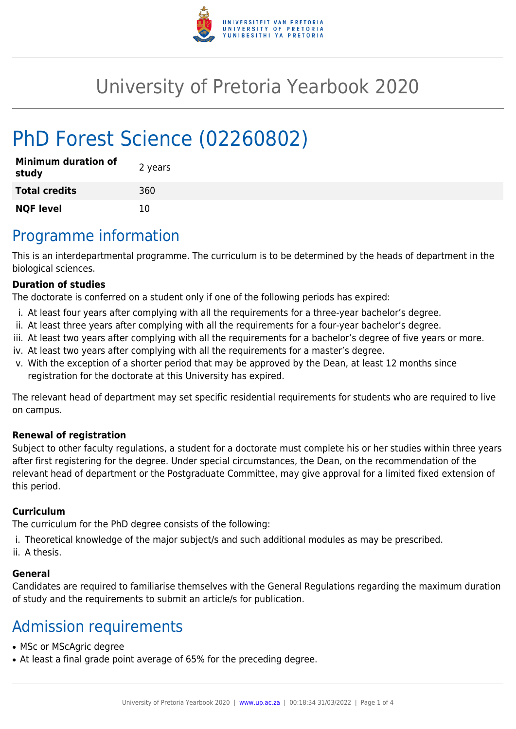

# University of Pretoria Yearbook 2020

# PhD Forest Science (02260802)

| <b>Minimum duration of</b><br>study | 2 years |
|-------------------------------------|---------|
| <b>Total credits</b>                | 360     |
| <b>NQF level</b>                    | 10      |

## Programme information

This is an interdepartmental programme. The curriculum is to be determined by the heads of department in the biological sciences.

#### **Duration of studies**

The doctorate is conferred on a student only if one of the following periods has expired:

- i. At least four years after complying with all the requirements for a three-year bachelor's degree.
- ii. At least three years after complying with all the requirements for a four-year bachelor's degree.
- iii. At least two years after complying with all the requirements for a bachelor's degree of five years or more.
- iv. At least two years after complying with all the requirements for a master's degree.
- v. With the exception of a shorter period that may be approved by the Dean, at least 12 months since registration for the doctorate at this University has expired.

The relevant head of department may set specific residential requirements for students who are required to live on campus.

#### **Renewal of registration**

Subject to other faculty regulations, a student for a doctorate must complete his or her studies within three years after first registering for the degree. Under special circumstances, the Dean, on the recommendation of the relevant head of department or the Postgraduate Committee, may give approval for a limited fixed extension of this period.

#### **Curriculum**

The curriculum for the PhD degree consists of the following:

- i. Theoretical knowledge of the major subject/s and such additional modules as may be prescribed.
- ii. A thesis.

#### **General**

Candidates are required to familiarise themselves with the General Regulations regarding the maximum duration of study and the requirements to submit an article/s for publication.

## Admission requirements

- MSc or MScAgric degree
- At least a final grade point average of 65% for the preceding degree.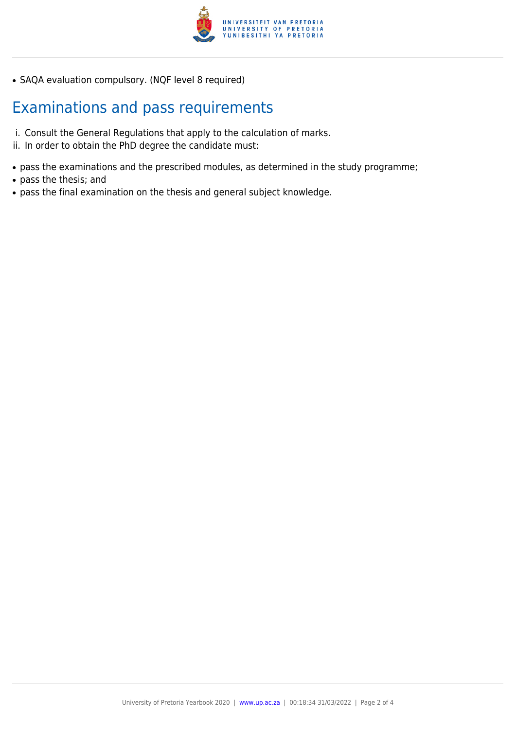

• SAQA evaluation compulsory. (NQF level 8 required)

## Examinations and pass requirements

- i. Consult the General Regulations that apply to the calculation of marks.
- ii. In order to obtain the PhD degree the candidate must:
- pass the examinations and the prescribed modules, as determined in the study programme;
- pass the thesis; and
- pass the final examination on the thesis and general subject knowledge.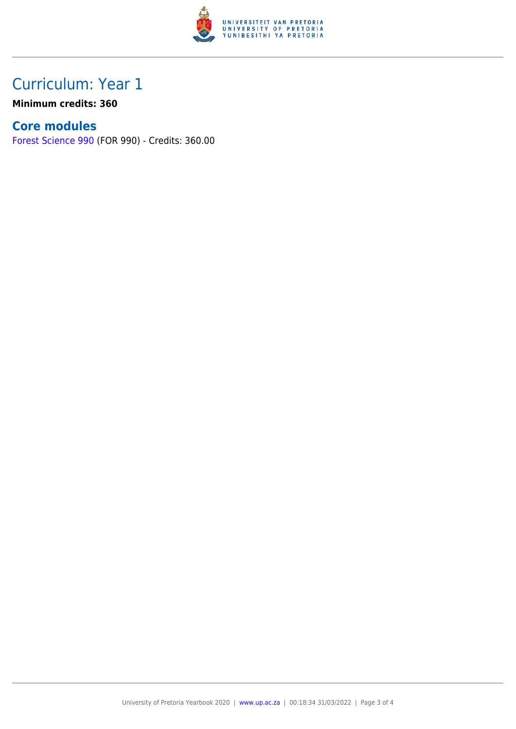

## Curriculum: Year 1

**Minimum credits: 360**

### **Core modules**

[Forest Science 990](https://www.up.ac.za/yearbooks/2020/modules/view/FOR 990) (FOR 990) - Credits: 360.00